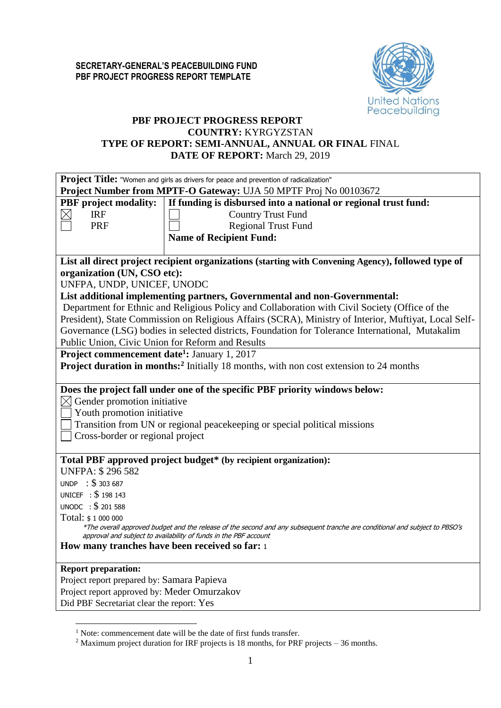

# **PBF PROJECT PROGRESS REPORT COUNTRY:** KYRGYZSTAN **TYPE OF REPORT: SEMI-ANNUAL, ANNUAL OR FINAL** FINAL **DATE OF REPORT:** March 29, 2019

|                                                                                                           | Project Title: "Women and girls as drivers for peace and prevention of radicalization"                                                                                                          |
|-----------------------------------------------------------------------------------------------------------|-------------------------------------------------------------------------------------------------------------------------------------------------------------------------------------------------|
|                                                                                                           | Project Number from MPTF-O Gateway: UJA 50 MPTF Proj No 00103672                                                                                                                                |
| <b>PBF</b> project modality:                                                                              | If funding is disbursed into a national or regional trust fund:                                                                                                                                 |
| <b>IRF</b>                                                                                                | <b>Country Trust Fund</b>                                                                                                                                                                       |
| <b>PRF</b>                                                                                                | <b>Regional Trust Fund</b>                                                                                                                                                                      |
|                                                                                                           | <b>Name of Recipient Fund:</b>                                                                                                                                                                  |
|                                                                                                           |                                                                                                                                                                                                 |
|                                                                                                           | List all direct project recipient organizations (starting with Convening Agency), followed type of                                                                                              |
| organization (UN, CSO etc):                                                                               |                                                                                                                                                                                                 |
| UNFPA, UNDP, UNICEF, UNODC                                                                                |                                                                                                                                                                                                 |
|                                                                                                           | List additional implementing partners, Governmental and non-Governmental:                                                                                                                       |
|                                                                                                           | Department for Ethnic and Religious Policy and Collaboration with Civil Society (Office of the                                                                                                  |
|                                                                                                           | President), State Commission on Religious Affairs (SCRA), Ministry of Interior, Muftiyat, Local Self-                                                                                           |
|                                                                                                           | Governance (LSG) bodies in selected districts, Foundation for Tolerance International, Mutakalim                                                                                                |
| Public Union, Civic Union for Reform and Results                                                          |                                                                                                                                                                                                 |
| <b>Project commencement date<sup>1</sup>:</b> January 1, 2017                                             |                                                                                                                                                                                                 |
|                                                                                                           | <b>Project duration in months:</b> <sup>2</sup> Initially 18 months, with non cost extension to 24 months                                                                                       |
|                                                                                                           |                                                                                                                                                                                                 |
| $\boxtimes$ Gender promotion initiative<br>Youth promotion initiative<br>Cross-border or regional project | Does the project fall under one of the specific PBF priority windows below:<br>Transition from UN or regional peacekeeping or special political missions                                        |
|                                                                                                           | Total PBF approved project budget* (by recipient organization):                                                                                                                                 |
| <b>UNFPA: \$296582</b>                                                                                    |                                                                                                                                                                                                 |
| UNDP : \$303687                                                                                           |                                                                                                                                                                                                 |
| UNICEF : \$198 143                                                                                        |                                                                                                                                                                                                 |
| UNODC : \$ 201 588                                                                                        |                                                                                                                                                                                                 |
| Total: \$1 000 000                                                                                        |                                                                                                                                                                                                 |
|                                                                                                           | *The overall approved budget and the release of the second and any subsequent tranche are conditional and subject to PBSO's<br>approval and subject to availability of funds in the PBF account |
| How many tranches have been received so far: 1                                                            |                                                                                                                                                                                                 |
|                                                                                                           |                                                                                                                                                                                                 |
| <b>Report preparation:</b>                                                                                |                                                                                                                                                                                                 |
| Project report prepared by: Samara Papieva                                                                |                                                                                                                                                                                                 |
| Project report approved by: Meder Omurzakov                                                               |                                                                                                                                                                                                 |
| Did PBF Secretariat clear the report: Yes                                                                 |                                                                                                                                                                                                 |
|                                                                                                           |                                                                                                                                                                                                 |

1

<sup>&</sup>lt;sup>1</sup> Note: commencement date will be the date of first funds transfer.

<sup>&</sup>lt;sup>2</sup> Maximum project duration for IRF projects is 18 months, for PRF projects – 36 months.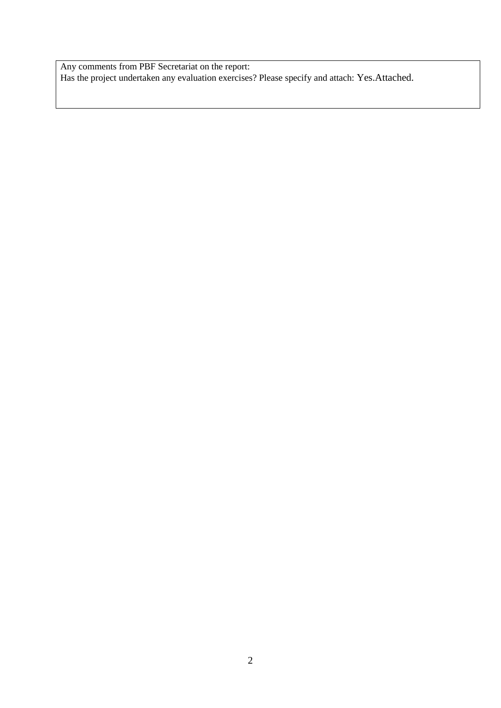Any comments from PBF Secretariat on the report: Has the project undertaken any evaluation exercises? Please specify and attach: Yes.Attached.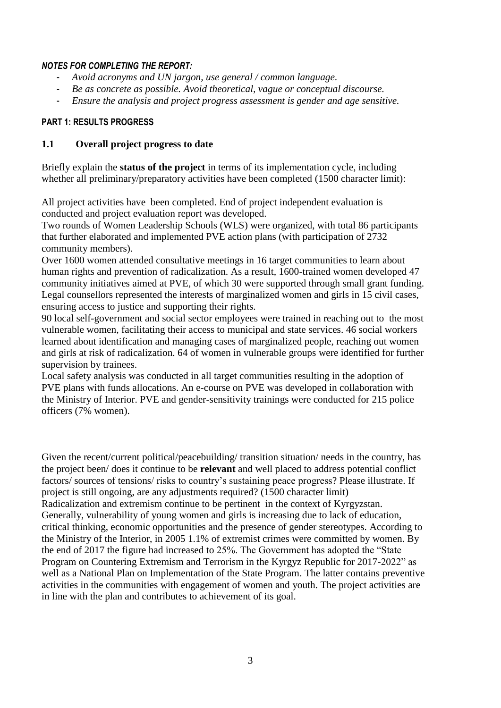## *NOTES FOR COMPLETING THE REPORT:*

- *Avoid acronyms and UN jargon, use general / common language.*
- *Be as concrete as possible. Avoid theoretical, vague or conceptual discourse.*
- *Ensure the analysis and project progress assessment is gender and age sensitive.*

# **PART 1: RESULTS PROGRESS**

# **1.1 Overall project progress to date**

Briefly explain the **status of the project** in terms of its implementation cycle, including whether all preliminary/preparatory activities have been completed (1500 character limit):

All project activities have been completed. End of project independent evaluation is conducted and project evaluation report was developed.

Two rounds of Women Leadership Schools (WLS) were organized, with total 86 participants that further elaborated and implemented PVE action plans (with participation of 2732 community members).

Over 1600 women attended consultative meetings in 16 target communities to learn about human rights and prevention of radicalization. As a result, 1600-trained women developed 47 community initiatives aimed at PVE, of which 30 were supported through small grant funding. Legal counsellors represented the interests of marginalized women and girls in 15 civil cases, ensuring access to justice and supporting their rights.

90 local self-government and social sector employees were trained in reaching out to the most vulnerable women, facilitating their access to municipal and state services. 46 social workers learned about identification and managing cases of marginalized people, reaching out women and girls at risk of radicalization. 64 of women in vulnerable groups were identified for further supervision by trainees.

Local safety analysis was conducted in all target communities resulting in the adoption of PVE plans with funds allocations. An e-course on PVE was developed in collaboration with the Ministry of Interior. PVE and gender-sensitivity trainings were conducted for 215 police officers (7% women).

Given the recent/current political/peacebuilding/ transition situation/ needs in the country, has the project been/ does it continue to be **relevant** and well placed to address potential conflict factors/ sources of tensions/ risks to country's sustaining peace progress? Please illustrate. If project is still ongoing, are any adjustments required? (1500 character limit)

Radicalization and extremism continue to be pertinent in the context of Kyrgyzstan. Generally, vulnerability of young women and girls is increasing due to lack of education, critical thinking, economic opportunities and the presence of gender stereotypes. According to the Ministry of the Interior, in 2005 1.1% of extremist crimes were committed by women. By the end of 2017 the figure had increased to 25%. The Government has adopted the "State Program on Countering Extremism and Terrorism in the Kyrgyz Republic for 2017-2022" as well as a National Plan on Implementation of the State Program. The latter contains preventive activities in the communities with engagement of women and youth. The project activities are in line with the plan and contributes to achievement of its goal.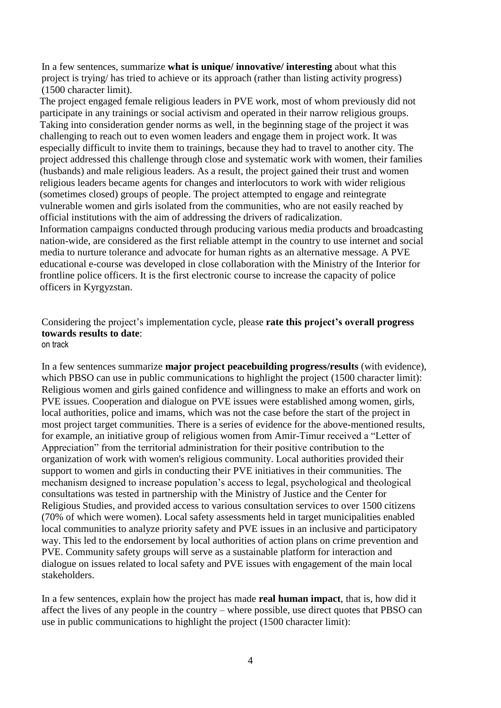In a few sentences, summarize **what is unique/ innovative/ interesting** about what this project is trying/ has tried to achieve or its approach (rather than listing activity progress) (1500 character limit).

The project engaged female religious leaders in PVE work, most of whom previously did not participate in any trainings or social activism and operated in their narrow religious groups. Taking into consideration gender norms as well, in the beginning stage of the project it was challenging to reach out to even women leaders and engage them in project work. It was especially difficult to invite them to trainings, because they had to travel to another city. The project addressed this challenge through close and systematic work with women, their families (husbands) and male religious leaders. As a result, the project gained their trust and women religious leaders became agents for changes and interlocutors to work with wider religious (sometimes closed) groups of people. The project attempted to engage and reintegrate vulnerable women and girls isolated from the communities, who are not easily reached by official institutions with the aim of addressing the drivers of radicalization. Information campaigns conducted through producing various media products and broadcasting nation-wide, are considered as the first reliable attempt in the country to use internet and social media to nurture tolerance and advocate for human rights as an alternative message. A PVE educational e-course was developed in close collaboration with the Ministry of the Interior for frontline police officers. It is the first electronic course to increase the capacity of police officers in Kyrgyzstan.

#### Considering the project's implementation cycle, please **rate this project's overall progress towards results to date**: on track

In a few sentences summarize **major project peacebuilding progress/results** (with evidence), which PBSO can use in public communications to highlight the project (1500 character limit): Religious women and girls gained confidence and willingness to make an efforts and work on PVE issues. Cooperation and dialogue on PVE issues were established among women, girls, local authorities, police and imams, which was not the case before the start of the project in most project target communities. There is a series of evidence for the above-mentioned results, for example, an initiative group of religious women from Amir-Timur received a "Letter of Appreciation" from the territorial administration for their positive contribution to the organization of work with women's religious community. Local authorities provided their support to women and girls in conducting their PVE initiatives in their communities. The mechanism designed to increase population's access to legal, psychological and theological consultations was tested in partnership with the Ministry of Justice and the Center for Religious Studies, and provided access to various consultation services to over 1500 citizens (70% of which were women). Local safety assessments held in target municipalities enabled local communities to analyze priority safety and PVE issues in an inclusive and participatory way. This led to the endorsement by local authorities of action plans on crime prevention and PVE. Community safety groups will serve as a sustainable platform for interaction and dialogue on issues related to local safety and PVE issues with engagement of the main local stakeholders.

In a few sentences, explain how the project has made **real human impact**, that is, how did it affect the lives of any people in the country – where possible, use direct quotes that PBSO can use in public communications to highlight the project (1500 character limit):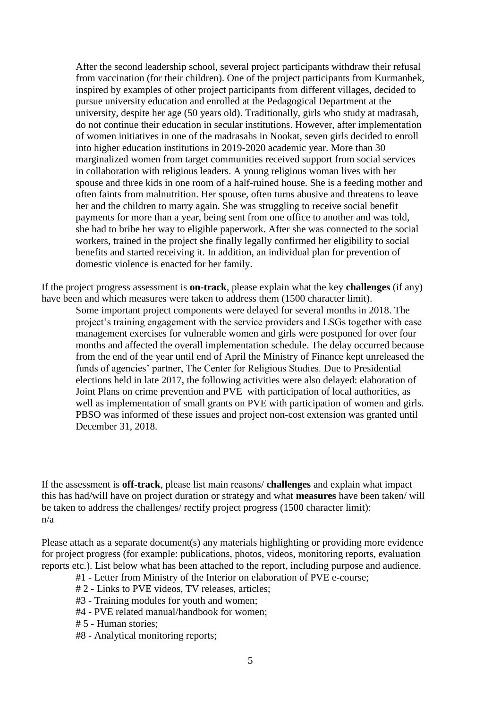After the second leadership school, several project participants withdraw their refusal from vaccination (for their children). One of the project participants from Kurmanbek, inspired by examples of other project participants from different villages, decided to pursue university education and enrolled at the Pedagogical Department at the university, despite her age (50 years old). Traditionally, girls who study at madrasah, do not continue their education in secular institutions. However, after implementation of women initiatives in one of the madrasahs in Nookat, seven girls decided to enroll into higher education institutions in 2019-2020 academic year. More than 30 marginalized women from target communities received support from social services in collaboration with religious leaders. A young religious woman lives with her spouse and three kids in one room of a half-ruined house. She is a feeding mother and often faints from malnutrition. Her spouse, often turns abusive and threatens to leave her and the children to marry again. She was struggling to receive social benefit payments for more than a year, being sent from one office to another and was told, she had to bribe her way to eligible paperwork. After she was connected to the social workers, trained in the project she finally legally confirmed her eligibility to social benefits and started receiving it. In addition, an individual plan for prevention of domestic violence is enacted for her family.

If the project progress assessment is **on-track**, please explain what the key **challenges** (if any) have been and which measures were taken to address them (1500 character limit).

Some important project components were delayed for several months in 2018. The project's training engagement with the service providers and LSGs together with case management exercises for vulnerable women and girls were postponed for over four months and affected the overall implementation schedule. The delay occurred because from the end of the year until end of April the Ministry of Finance kept unreleased the funds of agencies' partner, The Center for Religious Studies. Due to Presidential elections held in late 2017, the following activities were also delayed: elaboration of Joint Plans on crime prevention and PVE with participation of local authorities, as well as implementation of small grants on PVE with participation of women and girls. PBSO was informed of these issues and project non-cost extension was granted until December 31, 2018.

If the assessment is **off-track**, please list main reasons/ **challenges** and explain what impact this has had/will have on project duration or strategy and what **measures** have been taken/ will be taken to address the challenges/ rectify project progress (1500 character limit): n/a

Please attach as a separate document(s) any materials highlighting or providing more evidence for project progress (for example: publications, photos, videos, monitoring reports, evaluation reports etc.). List below what has been attached to the report, including purpose and audience.

#1 - Letter from Ministry of the Interior on elaboration of PVE e-course;

- # 2 Links to PVE videos, TV releases, articles;
- #3 Training modules for youth and women;
- #4 PVE related manual/handbook for women;
- # 5 Human stories;
- #8 Analytical monitoring reports;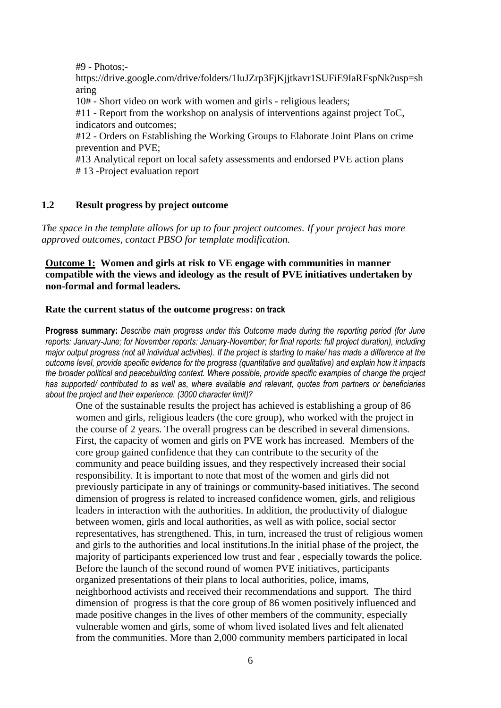#9 - Photos;-

https://drive.google.com/drive/folders/1IuJZrp3FjKjjtkavr1SUFiE9IaRFspNk?usp=sh aring

10# - Short video on work with women and girls - religious leaders;

#11 - Report from the workshop on analysis of interventions against project ToC, indicators and outcomes;

#12 - Orders on Establishing the Working Groups to Elaborate Joint Plans on crime prevention and PVE;

#13 Analytical report on local safety assessments and endorsed PVE action plans # 13 -Project evaluation report

## **1.2 Result progress by project outcome**

*The space in the template allows for up to four project outcomes. If your project has more approved outcomes, contact PBSO for template modification.*

# **Outcome 1: Women and girls at risk to VE engage with communities in manner compatible with the views and ideology as the result of PVE initiatives undertaken by non-formal and formal leaders.**

#### **Rate the current status of the outcome progress: on track**

**Progress summary:** *Describe main progress under this Outcome made during the reporting period (for June reports: January-June; for November reports: January-November; for final reports: full project duration), including major output progress (not all individual activities). If the project is starting to make/ has made a difference at the outcome level, provide specific evidence for the progress (quantitative and qualitative) and explain how it impacts the broader political and peacebuilding context. Where possible, provide specific examples of change the project has supported/ contributed to as well as, where available and relevant, quotes from partners or beneficiaries about the project and their experience. (3000 character limit)?* 

One of the sustainable results the project has achieved is establishing a group of 86 women and girls, religious leaders (the core group), who worked with the project in the course of 2 years. The overall progress can be described in several dimensions. First, the capacity of women and girls on PVE work has increased. Members of the core group gained confidence that they can contribute to the security of the community and peace building issues, and they respectively increased their social responsibility. It is important to note that most of the women and girls did not previously participate in any of trainings or community-based initiatives. The second dimension of progress is related to increased confidence women, girls, and religious leaders in interaction with the authorities. In addition, the productivity of dialogue between women, girls and local authorities, as well as with police, social sector representatives, has strengthened. This, in turn, increased the trust of religious women and girls to the authorities and local institutions.In the initial phase of the project, the majority of participants experienced low trust and fear , especially towards the police. Before the launch of the second round of women PVE initiatives, participants organized presentations of their plans to local authorities, police, imams, neighborhood activists and received their recommendations and support. The third dimension of progress is that the core group of 86 women positively influenced and made positive changes in the lives of other members of the community, especially vulnerable women and girls, some of whom lived isolated lives and felt alienated from the communities. More than 2,000 community members participated in local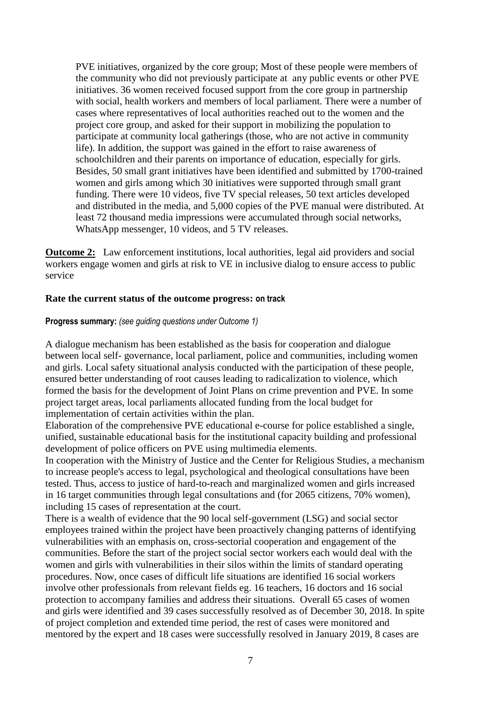PVE initiatives, organized by the core group; Most of these people were members of the community who did not previously participate at any public events or other PVE initiatives. 36 women received focused support from the core group in partnership with social, health workers and members of local parliament. There were a number of cases where representatives of local authorities reached out to the women and the project core group, and asked for their support in mobilizing the population to participate at community local gatherings (those, who are not active in community life). In addition, the support was gained in the effort to raise awareness of schoolchildren and their parents on importance of education, especially for girls. Besides, 50 small grant initiatives have been identified and submitted by 1700-trained women and girls among which 30 initiatives were supported through small grant funding. There were 10 videos, five TV special releases, 50 text articles developed and distributed in the media, and 5,000 copies of the PVE manual were distributed. At least 72 thousand media impressions were accumulated through social networks, WhatsApp messenger, 10 videos, and 5 TV releases.

**Outcome 2:** Law enforcement institutions, local authorities, legal aid providers and social workers engage women and girls at risk to VE in inclusive dialog to ensure access to public service

### **Rate the current status of the outcome progress: on track**

#### **Progress summary:** *(see guiding questions under Outcome 1)*

A dialogue mechanism has been established as the basis for cooperation and dialogue between local self- governance, local parliament, police and communities, including women and girls. Local safety situational analysis conducted with the participation of these people, ensured better understanding of root causes leading to radicalization to violence, which formed the basis for the development of Joint Plans on crime prevention and PVE. In some project target areas, local parliaments allocated funding from the local budget for implementation of certain activities within the plan.

Elaboration of the comprehensive PVE educational e-course for police established a single, unified, sustainable educational basis for the institutional capacity building and professional development of police officers on PVE using multimedia elements.

In cooperation with the Ministry of Justice and the Center for Religious Studies, a mechanism to increase people's access to legal, psychological and theological consultations have been tested. Thus, access to justice of hard-to-reach and marginalized women and girls increased in 16 target communities through legal consultations and (for 2065 citizens, 70% women), including 15 cases of representation at the court.

There is a wealth of evidence that the 90 local self-government (LSG) and social sector employees trained within the project have been proactively changing patterns of identifying vulnerabilities with an emphasis on, cross-sectorial cooperation and engagement of the communities. Before the start of the project social sector workers each would deal with the women and girls with vulnerabilities in their silos within the limits of standard operating procedures. Now, once cases of difficult life situations are identified 16 social workers involve other professionals from relevant fields eg. 16 teachers, 16 doctors and 16 social protection to accompany families and address their situations. Overall 65 cases of women and girls were identified and 39 cases successfully resolved as of December 30, 2018. In spite of project completion and extended time period, the rest of cases were monitored and mentored by the expert and 18 cases were successfully resolved in January 2019, 8 cases are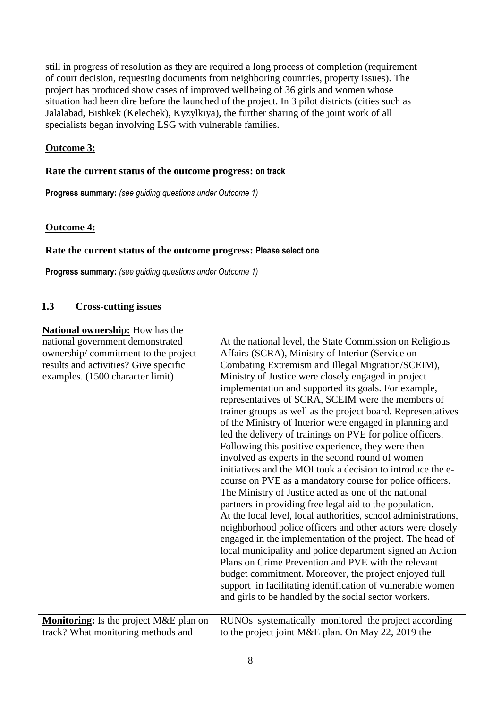still in progress of resolution as they are required a long process of completion (requirement of court decision, requesting documents from neighboring countries, property issues). The project has produced show cases of improved wellbeing of 36 girls and women whose situation had been dire before the launched of the project. In 3 pilot districts (cities such as Jalalabad, Bishkek (Kelechek), Kyzylkiya), the further sharing of the joint work of all specialists began involving LSG with vulnerable families.

# **Outcome 3:**

# **Rate the current status of the outcome progress: on track**

**Progress summary:** *(see guiding questions under Outcome 1)* 

# **Outcome 4:**

## **Rate the current status of the outcome progress: Please select one**

**Progress summary:** *(see guiding questions under Outcome 1)* 

## **1.3 Cross-cutting issues**

| <b>National ownership:</b> How has the        |                                                                                                                                                                                                                                                                                                                                                                                                                                                                                                                                                                                                                                                                                                                                                                                                                                                                                                                                                                                                                                     |
|-----------------------------------------------|-------------------------------------------------------------------------------------------------------------------------------------------------------------------------------------------------------------------------------------------------------------------------------------------------------------------------------------------------------------------------------------------------------------------------------------------------------------------------------------------------------------------------------------------------------------------------------------------------------------------------------------------------------------------------------------------------------------------------------------------------------------------------------------------------------------------------------------------------------------------------------------------------------------------------------------------------------------------------------------------------------------------------------------|
| national government demonstrated              | At the national level, the State Commission on Religious                                                                                                                                                                                                                                                                                                                                                                                                                                                                                                                                                                                                                                                                                                                                                                                                                                                                                                                                                                            |
| ownership/commitment to the project           | Affairs (SCRA), Ministry of Interior (Service on                                                                                                                                                                                                                                                                                                                                                                                                                                                                                                                                                                                                                                                                                                                                                                                                                                                                                                                                                                                    |
| results and activities? Give specific         | Combating Extremism and Illegal Migration/SCEIM),                                                                                                                                                                                                                                                                                                                                                                                                                                                                                                                                                                                                                                                                                                                                                                                                                                                                                                                                                                                   |
| examples. (1500 character limit)              | Ministry of Justice were closely engaged in project<br>implementation and supported its goals. For example,<br>representatives of SCRA, SCEIM were the members of<br>trainer groups as well as the project board. Representatives<br>of the Ministry of Interior were engaged in planning and<br>led the delivery of trainings on PVE for police officers.<br>Following this positive experience, they were then<br>involved as experts in the second round of women<br>initiatives and the MOI took a decision to introduce the e-<br>course on PVE as a mandatory course for police officers.<br>The Ministry of Justice acted as one of the national<br>partners in providing free legal aid to the population.<br>At the local level, local authorities, school administrations,<br>neighborhood police officers and other actors were closely<br>engaged in the implementation of the project. The head of<br>local municipality and police department signed an Action<br>Plans on Crime Prevention and PVE with the relevant |
|                                               | budget commitment. Moreover, the project enjoyed full                                                                                                                                                                                                                                                                                                                                                                                                                                                                                                                                                                                                                                                                                                                                                                                                                                                                                                                                                                               |
|                                               | support in facilitating identification of vulnerable women                                                                                                                                                                                                                                                                                                                                                                                                                                                                                                                                                                                                                                                                                                                                                                                                                                                                                                                                                                          |
|                                               | and girls to be handled by the social sector workers.                                                                                                                                                                                                                                                                                                                                                                                                                                                                                                                                                                                                                                                                                                                                                                                                                                                                                                                                                                               |
| <b>Monitoring:</b> Is the project M&E plan on | RUNOs systematically monitored the project according                                                                                                                                                                                                                                                                                                                                                                                                                                                                                                                                                                                                                                                                                                                                                                                                                                                                                                                                                                                |
| track? What monitoring methods and            | to the project joint M&E plan. On May 22, 2019 the                                                                                                                                                                                                                                                                                                                                                                                                                                                                                                                                                                                                                                                                                                                                                                                                                                                                                                                                                                                  |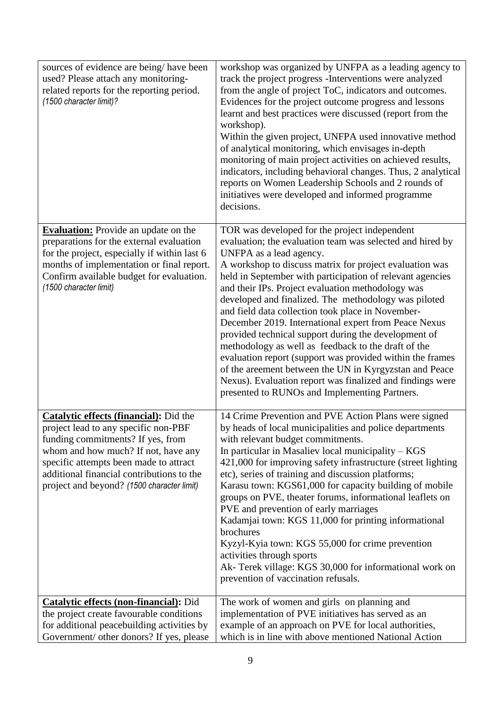| sources of evidence are being/have been<br>used? Please attach any monitoring-<br>related reports for the reporting period.<br>(1500 character limit)?                                                                                                                                                 | workshop was organized by UNFPA as a leading agency to<br>track the project progress - Interventions were analyzed<br>from the angle of project ToC, indicators and outcomes.<br>Evidences for the project outcome progress and lessons<br>learnt and best practices were discussed (report from the<br>workshop).<br>Within the given project, UNFPA used innovative method<br>of analytical monitoring, which envisages in-depth<br>monitoring of main project activities on achieved results,<br>indicators, including behavioral changes. Thus, 2 analytical<br>reports on Women Leadership Schools and 2 rounds of<br>initiatives were developed and informed programme<br>decisions.                                                                                                                                                  |
|--------------------------------------------------------------------------------------------------------------------------------------------------------------------------------------------------------------------------------------------------------------------------------------------------------|---------------------------------------------------------------------------------------------------------------------------------------------------------------------------------------------------------------------------------------------------------------------------------------------------------------------------------------------------------------------------------------------------------------------------------------------------------------------------------------------------------------------------------------------------------------------------------------------------------------------------------------------------------------------------------------------------------------------------------------------------------------------------------------------------------------------------------------------|
| <b>Evaluation:</b> Provide an update on the<br>preparations for the external evaluation<br>for the project, especially if within last 6<br>months of implementation or final report.<br>Confirm available budget for evaluation.<br>(1500 character limit)                                             | TOR was developed for the project independent<br>evaluation; the evaluation team was selected and hired by<br>UNFPA as a lead agency.<br>A workshop to discuss matrix for project evaluation was<br>held in September with participation of relevant agencies<br>and their IPs. Project evaluation methodology was<br>developed and finalized. The methodology was piloted<br>and field data collection took place in November-<br>December 2019. International expert from Peace Nexus<br>provided technical support during the development of<br>methodology as well as feedback to the draft of the<br>evaluation report (support was provided within the frames<br>of the areement between the UN in Kyrgyzstan and Peace<br>Nexus). Evaluation report was finalized and findings were<br>presented to RUNOs and Implementing Partners. |
| <b>Catalytic effects (financial):</b> Did the<br>project lead to any specific non-PBF<br>funding commitments? If yes, from<br>whom and how much? If not, have any<br>specific attempts been made to attract<br>additional financial contributions to the<br>project and beyond? (1500 character limit) | 14 Crime Prevention and PVE Action Plans were signed<br>by heads of local municipalities and police departments<br>with relevant budget commitments.<br>In particular in Masaliev local municipality – KGS<br>421,000 for improving safety infrastructure (street lighting<br>etc), series of training and discussion platforms;<br>Karasu town: KGS61,000 for capacity building of mobile<br>groups on PVE, theater forums, informational leaflets on<br>PVE and prevention of early marriages<br>Kadamjai town: KGS 11,000 for printing informational<br>brochures<br>Kyzyl-Kyia town: KGS 55,000 for crime prevention<br>activities through sports<br>Ak- Terek village: KGS 30,000 for informational work on<br>prevention of vaccination refusals.                                                                                     |
| <b>Catalytic effects (non-financial):</b> Did<br>the project create favourable conditions<br>for additional peacebuilding activities by<br>Government/ other donors? If yes, please                                                                                                                    | The work of women and girls on planning and<br>implementation of PVE initiatives has served as an<br>example of an approach on PVE for local authorities,<br>which is in line with above mentioned National Action                                                                                                                                                                                                                                                                                                                                                                                                                                                                                                                                                                                                                          |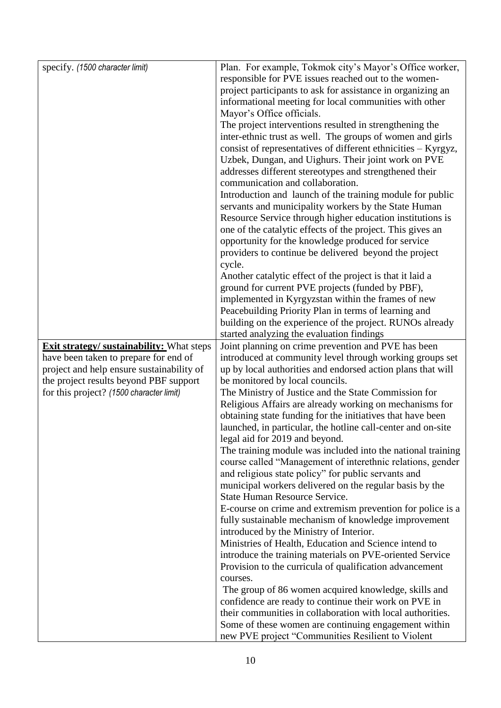| specify. (1500 character limit)                                                    | Plan. For example, Tokmok city's Mayor's Office worker,                                 |
|------------------------------------------------------------------------------------|-----------------------------------------------------------------------------------------|
|                                                                                    | responsible for PVE issues reached out to the women-                                    |
|                                                                                    | project participants to ask for assistance in organizing an                             |
|                                                                                    | informational meeting for local communities with other                                  |
|                                                                                    | Mayor's Office officials.                                                               |
|                                                                                    | The project interventions resulted in strengthening the                                 |
|                                                                                    | inter-ethnic trust as well. The groups of women and girls                               |
|                                                                                    | consist of representatives of different ethnicities - Kyrgyz,                           |
|                                                                                    | Uzbek, Dungan, and Uighurs. Their joint work on PVE                                     |
|                                                                                    | addresses different stereotypes and strengthened their                                  |
|                                                                                    | communication and collaboration.                                                        |
|                                                                                    | Introduction and launch of the training module for public                               |
|                                                                                    | servants and municipality workers by the State Human                                    |
|                                                                                    | Resource Service through higher education institutions is                               |
|                                                                                    | one of the catalytic effects of the project. This gives an                              |
|                                                                                    | opportunity for the knowledge produced for service                                      |
|                                                                                    | providers to continue be delivered beyond the project                                   |
|                                                                                    | cycle.                                                                                  |
|                                                                                    | Another catalytic effect of the project is that it laid a                               |
|                                                                                    | ground for current PVE projects (funded by PBF),                                        |
|                                                                                    | implemented in Kyrgyzstan within the frames of new                                      |
|                                                                                    | Peacebuilding Priority Plan in terms of learning and                                    |
|                                                                                    | building on the experience of the project. RUNOs already                                |
|                                                                                    | started analyzing the evaluation findings                                               |
| <b>Exit strategy/ sustainability:</b> What steps                                   | Joint planning on crime prevention and PVE has been                                     |
| have been taken to prepare for end of                                              | introduced at community level through working groups set                                |
| project and help ensure sustainability of                                          | up by local authorities and endorsed action plans that will                             |
| the project results beyond PBF support<br>for this project? (1500 character limit) | be monitored by local councils.<br>The Ministry of Justice and the State Commission for |
|                                                                                    | Religious Affairs are already working on mechanisms for                                 |
|                                                                                    | obtaining state funding for the initiatives that have been                              |
|                                                                                    | launched, in particular, the hotline call-center and on-site                            |
|                                                                                    | legal aid for 2019 and beyond.                                                          |
|                                                                                    | The training module was included into the national training                             |
|                                                                                    | course called "Management of interethnic relations, gender                              |
|                                                                                    | and religious state policy" for public servants and                                     |
|                                                                                    | municipal workers delivered on the regular basis by the                                 |
|                                                                                    | <b>State Human Resource Service.</b>                                                    |
|                                                                                    | E-course on crime and extremism prevention for police is a                              |
|                                                                                    | fully sustainable mechanism of knowledge improvement                                    |
|                                                                                    | introduced by the Ministry of Interior.                                                 |
|                                                                                    | Ministries of Health, Education and Science intend to                                   |
|                                                                                    | introduce the training materials on PVE-oriented Service                                |
|                                                                                    | Provision to the curricula of qualification advancement                                 |
|                                                                                    | courses.                                                                                |
|                                                                                    | The group of 86 women acquired knowledge, skills and                                    |
|                                                                                    | confidence are ready to continue their work on PVE in                                   |
|                                                                                    | their communities in collaboration with local authorities.                              |
|                                                                                    | Some of these women are continuing engagement within                                    |
|                                                                                    | new PVE project "Communities Resilient to Violent                                       |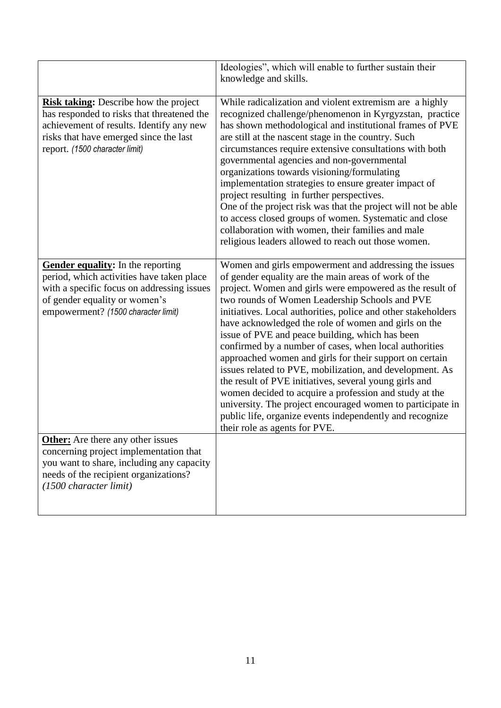|                                                                                                                                                                                                                    | Ideologies", which will enable to further sustain their<br>knowledge and skills.                                                                                                                                                                                                                                                                                                                                                                                                                                                                                                                                                                                                                                                                                                                                                                                        |
|--------------------------------------------------------------------------------------------------------------------------------------------------------------------------------------------------------------------|-------------------------------------------------------------------------------------------------------------------------------------------------------------------------------------------------------------------------------------------------------------------------------------------------------------------------------------------------------------------------------------------------------------------------------------------------------------------------------------------------------------------------------------------------------------------------------------------------------------------------------------------------------------------------------------------------------------------------------------------------------------------------------------------------------------------------------------------------------------------------|
| <b>Risk taking:</b> Describe how the project<br>has responded to risks that threatened the<br>achievement of results. Identify any new<br>risks that have emerged since the last<br>report. (1500 character limit) | While radicalization and violent extremism are a highly<br>recognized challenge/phenomenon in Kyrgyzstan, practice<br>has shown methodological and institutional frames of PVE<br>are still at the nascent stage in the country. Such<br>circumstances require extensive consultations with both<br>governmental agencies and non-governmental<br>organizations towards visioning/formulating<br>implementation strategies to ensure greater impact of<br>project resulting in further perspectives.<br>One of the project risk was that the project will not be able<br>to access closed groups of women. Systematic and close<br>collaboration with women, their families and male<br>religious leaders allowed to reach out those women.                                                                                                                             |
| Gender equality: In the reporting<br>period, which activities have taken place<br>with a specific focus on addressing issues<br>of gender equality or women's<br>empowerment? (1500 character limit)               | Women and girls empowerment and addressing the issues<br>of gender equality are the main areas of work of the<br>project. Women and girls were empowered as the result of<br>two rounds of Women Leadership Schools and PVE<br>initiatives. Local authorities, police and other stakeholders<br>have acknowledged the role of women and girls on the<br>issue of PVE and peace building, which has been<br>confirmed by a number of cases, when local authorities<br>approached women and girls for their support on certain<br>issues related to PVE, mobilization, and development. As<br>the result of PVE initiatives, several young girls and<br>women decided to acquire a profession and study at the<br>university. The project encouraged women to participate in<br>public life, organize events independently and recognize<br>their role as agents for PVE. |
| <b>Other:</b> Are there any other issues<br>concerning project implementation that<br>you want to share, including any capacity<br>needs of the recipient organizations?<br>(1500 character limit)                 |                                                                                                                                                                                                                                                                                                                                                                                                                                                                                                                                                                                                                                                                                                                                                                                                                                                                         |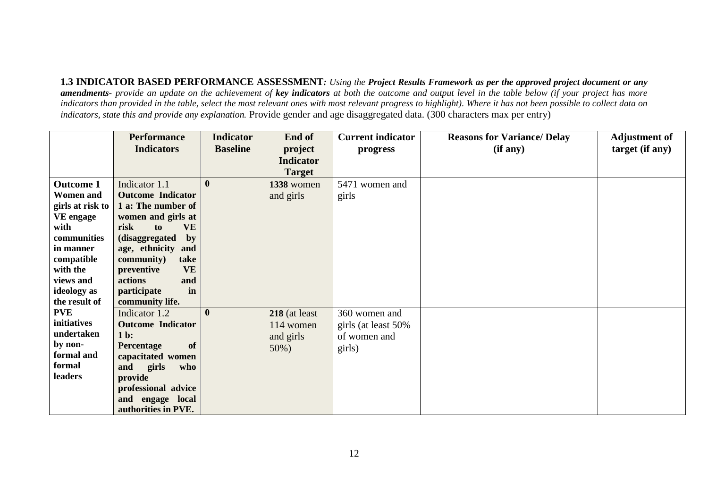**1.3 INDICATOR BASED PERFORMANCE ASSESSMENT***: Using the Project Results Framework as per the approved project document or any amendments- provide an update on the achievement of key indicators at both the outcome and output level in the table below (if your project has more indicators than provided in the table, select the most relevant ones with most relevant progress to highlight). Where it has not been possible to collect data on indicators, state this and provide any explanation.* Provide gender and age disaggregated data. (300 characters max per entry)

|                       | <b>Performance</b>                       | <b>Indicator</b> | End of           | <b>Current indicator</b> | <b>Reasons for Variance/ Delay</b> | <b>Adjustment of</b> |
|-----------------------|------------------------------------------|------------------|------------------|--------------------------|------------------------------------|----------------------|
|                       | <b>Indicators</b>                        | <b>Baseline</b>  | project          | progress                 | (if any)                           | target (if any)      |
|                       |                                          |                  | <b>Indicator</b> |                          |                                    |                      |
|                       |                                          |                  | <b>Target</b>    |                          |                                    |                      |
| <b>Outcome 1</b>      | Indicator 1.1                            | $\mathbf{0}$     | 1338 women       | 5471 women and           |                                    |                      |
| <b>Women and</b>      | <b>Outcome Indicator</b>                 |                  | and girls        | girls                    |                                    |                      |
| girls at risk to      | 1 a: The number of                       |                  |                  |                          |                                    |                      |
| <b>VE</b> engage      | women and girls at                       |                  |                  |                          |                                    |                      |
| with                  | risk<br><b>VE</b><br>to                  |                  |                  |                          |                                    |                      |
| communities           | (disaggregated<br>$\mathbf{b}\mathbf{v}$ |                  |                  |                          |                                    |                      |
| in manner             | age, ethnicity and                       |                  |                  |                          |                                    |                      |
| compatible            | community)<br>take                       |                  |                  |                          |                                    |                      |
| with the              | <b>VE</b><br>preventive                  |                  |                  |                          |                                    |                      |
| views and             | actions<br>and                           |                  |                  |                          |                                    |                      |
| ideology as           | participate<br>in                        |                  |                  |                          |                                    |                      |
| the result of         | community life.                          |                  |                  |                          |                                    |                      |
| <b>PVE</b>            | Indicator 1.2                            | $\mathbf{0}$     | $218$ (at least  | 360 women and            |                                    |                      |
| initiatives           | <b>Outcome Indicator</b>                 |                  | 114 women        | girls (at least 50%      |                                    |                      |
| undertaken            | $1b$ :                                   |                  | and girls        | of women and             |                                    |                      |
| by non-<br>formal and | of<br>Percentage                         |                  | $50\%)$          | girls)                   |                                    |                      |
| formal                | capacitated women                        |                  |                  |                          |                                    |                      |
| leaders               | and<br>girls<br>who                      |                  |                  |                          |                                    |                      |
|                       | provide                                  |                  |                  |                          |                                    |                      |
|                       | professional advice                      |                  |                  |                          |                                    |                      |
|                       | and engage local<br>authorities in PVE.  |                  |                  |                          |                                    |                      |
|                       |                                          |                  |                  |                          |                                    |                      |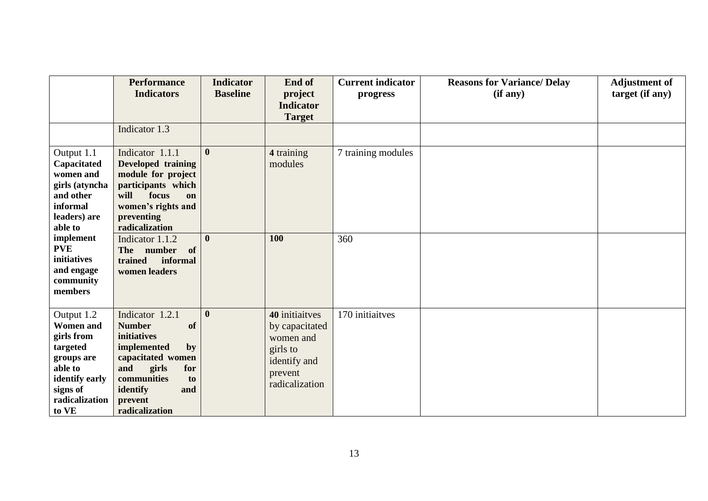|                                                                                                                                            | <b>Performance</b><br><b>Indicators</b>                                                                                                                                                            | <b>Indicator</b><br><b>Baseline</b> | End of<br>project<br><b>Indicator</b><br><b>Target</b>                                                 | <b>Current indicator</b><br>progress | <b>Reasons for Variance/ Delay</b><br>(if any) | <b>Adjustment of</b><br>target (if any) |
|--------------------------------------------------------------------------------------------------------------------------------------------|----------------------------------------------------------------------------------------------------------------------------------------------------------------------------------------------------|-------------------------------------|--------------------------------------------------------------------------------------------------------|--------------------------------------|------------------------------------------------|-----------------------------------------|
|                                                                                                                                            | Indicator 1.3                                                                                                                                                                                      |                                     |                                                                                                        |                                      |                                                |                                         |
| Output 1.1<br>Capacitated<br>women and<br>girls (atyncha<br>and other<br>informal<br>leaders) are<br>able to                               | Indicator 1.1.1<br>Developed training<br>module for project<br>participants which<br>will<br>focus<br>on<br>women's rights and<br>preventing<br>radicalization                                     | $\mathbf{0}$                        | 4 training<br>modules                                                                                  | 7 training modules                   |                                                |                                         |
| implement<br><b>PVE</b><br>initiatives<br>and engage<br>community<br>members                                                               | Indicator 1.1.2<br>The number<br>of<br>informal<br>trained<br>women leaders                                                                                                                        | $\bf{0}$                            | 100                                                                                                    | 360                                  |                                                |                                         |
| Output 1.2<br><b>Women and</b><br>girls from<br>targeted<br>groups are<br>able to<br>identify early<br>signs of<br>radicalization<br>to VE | Indicator 1.2.1<br><b>Number</b><br>of<br><b>initiatives</b><br>implemented<br>by<br>capacitated women<br>and<br>girls<br>for<br>communities<br>to<br>identify<br>and<br>prevent<br>radicalization | $\boldsymbol{0}$                    | 40 initiaitves<br>by capacitated<br>women and<br>girls to<br>identify and<br>prevent<br>radicalization | 170 initiaitves                      |                                                |                                         |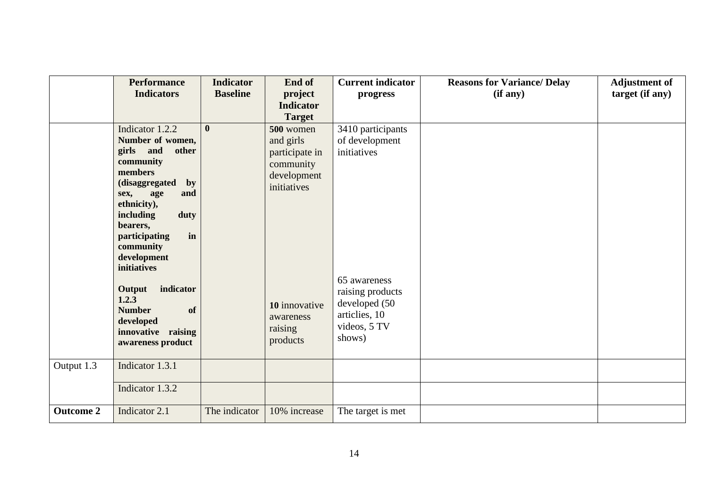|                  | <b>Performance</b><br><b>Indicators</b> | <b>Indicator</b><br><b>Baseline</b> | End of<br>project          | <b>Current indicator</b><br>progress | <b>Reasons for Variance/ Delay</b><br>(if any) | <b>Adjustment of</b><br>target (if any) |
|------------------|-----------------------------------------|-------------------------------------|----------------------------|--------------------------------------|------------------------------------------------|-----------------------------------------|
|                  |                                         |                                     | <b>Indicator</b>           |                                      |                                                |                                         |
|                  |                                         |                                     | <b>Target</b>              |                                      |                                                |                                         |
|                  | Indicator 1.2.2                         | $\mathbf{0}$                        | 500 women                  | 3410 participants                    |                                                |                                         |
|                  | Number of women,                        |                                     | and girls                  | of development                       |                                                |                                         |
|                  | girls and<br>other<br>community         |                                     | participate in             | initiatives                          |                                                |                                         |
|                  | members                                 |                                     | community                  |                                      |                                                |                                         |
|                  | (disaggregated<br>$\mathbf{by}$         |                                     | development<br>initiatives |                                      |                                                |                                         |
|                  | age<br>and<br>sex,                      |                                     |                            |                                      |                                                |                                         |
|                  | ethnicity),                             |                                     |                            |                                      |                                                |                                         |
|                  | including<br>duty<br>bearers,           |                                     |                            |                                      |                                                |                                         |
|                  | in<br>participating                     |                                     |                            |                                      |                                                |                                         |
|                  | community                               |                                     |                            |                                      |                                                |                                         |
|                  | development                             |                                     |                            |                                      |                                                |                                         |
|                  | initiatives                             |                                     |                            |                                      |                                                |                                         |
|                  | indicator                               |                                     |                            | 65 awareness                         |                                                |                                         |
|                  | Output<br>1.2.3                         |                                     |                            | raising products                     |                                                |                                         |
|                  | <b>Number</b><br>of                     |                                     | 10 innovative              | developed (50<br>articlies, 10       |                                                |                                         |
|                  | developed                               |                                     | awareness                  | videos, 5 TV                         |                                                |                                         |
|                  | innovative raising                      |                                     | raising<br>products        | shows)                               |                                                |                                         |
|                  | awareness product                       |                                     |                            |                                      |                                                |                                         |
| Output 1.3       | Indicator 1.3.1                         |                                     |                            |                                      |                                                |                                         |
|                  |                                         |                                     |                            |                                      |                                                |                                         |
|                  | Indicator 1.3.2                         |                                     |                            |                                      |                                                |                                         |
| <b>Outcome 2</b> | Indicator 2.1                           | The indicator                       | 10% increase               | The target is met                    |                                                |                                         |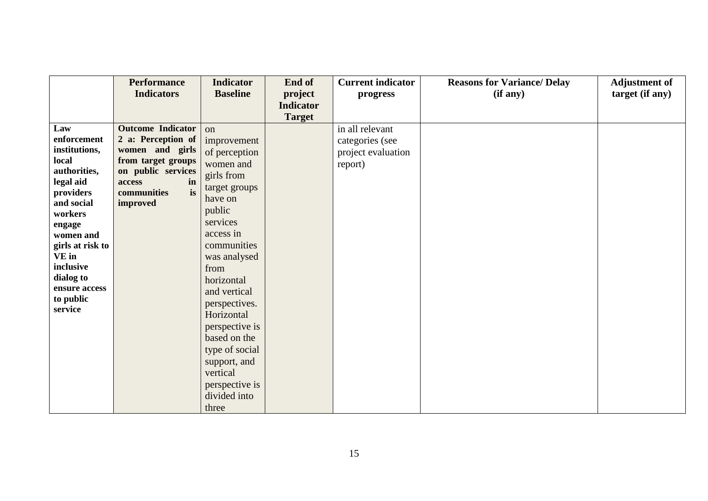|                                                                                                                                                                                                      | <b>Performance</b><br><b>Indicators</b>                                                                                                                        | <b>Indicator</b><br><b>Baseline</b>                                                                                                                                               | End of                            | <b>Current indicator</b>                                            | <b>Reasons for Variance/ Delay</b> | <b>Adjustment of</b> |
|------------------------------------------------------------------------------------------------------------------------------------------------------------------------------------------------------|----------------------------------------------------------------------------------------------------------------------------------------------------------------|-----------------------------------------------------------------------------------------------------------------------------------------------------------------------------------|-----------------------------------|---------------------------------------------------------------------|------------------------------------|----------------------|
|                                                                                                                                                                                                      |                                                                                                                                                                |                                                                                                                                                                                   | project                           | progress                                                            | (if any)                           | target (if any)      |
|                                                                                                                                                                                                      |                                                                                                                                                                |                                                                                                                                                                                   |                                   |                                                                     |                                    |                      |
| Law<br>enforcement<br>institutions,<br>local<br>authorities,<br>legal aid<br>providers<br>and social<br>workers<br>engage<br>women and<br>girls at risk to<br><b>VE</b> in<br>inclusive<br>dialog to | <b>Outcome Indicator</b><br>2 a: Perception of<br>women and girls<br>from target groups<br>on public services<br>access<br>in<br>is<br>communities<br>improved | on<br>improvement<br>of perception<br>women and<br>girls from<br>target groups<br>have on<br>public<br>services<br>access in<br>communities<br>was analysed<br>from<br>horizontal | <b>Indicator</b><br><b>Target</b> | in all relevant<br>categories (see<br>project evaluation<br>report) |                                    |                      |
| ensure access<br>to public<br>service                                                                                                                                                                |                                                                                                                                                                | and vertical<br>perspectives.<br>Horizontal<br>perspective is<br>based on the<br>type of social<br>support, and<br>vertical<br>perspective is<br>divided into<br>three            |                                   |                                                                     |                                    |                      |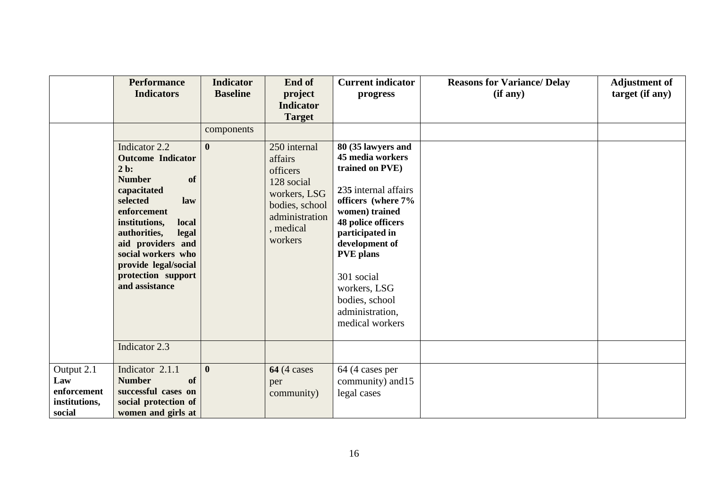|                                                             | <b>Performance</b><br><b>Indicators</b>                                                                                                                                                                                                                                                   | <b>Indicator</b><br><b>Baseline</b> | End of<br>project<br><b>Indicator</b><br><b>Target</b>                                                                        | <b>Current indicator</b><br>progress                                                                                                                                                                                                                                                           | <b>Reasons for Variance/ Delay</b><br>(if any) | <b>Adjustment of</b><br>target (if any) |
|-------------------------------------------------------------|-------------------------------------------------------------------------------------------------------------------------------------------------------------------------------------------------------------------------------------------------------------------------------------------|-------------------------------------|-------------------------------------------------------------------------------------------------------------------------------|------------------------------------------------------------------------------------------------------------------------------------------------------------------------------------------------------------------------------------------------------------------------------------------------|------------------------------------------------|-----------------------------------------|
|                                                             | Indicator 2.2<br><b>Outcome Indicator</b><br>$2b$ :<br><b>Number</b><br>of<br>capacitated<br>selected<br>law<br>enforcement<br>local<br>institutions,<br>authorities,<br>legal<br>aid providers and<br>social workers who<br>provide legal/social<br>protection support<br>and assistance | components<br>$\mathbf{0}$          | 250 internal<br>affairs<br>officers<br>128 social<br>workers, LSG<br>bodies, school<br>administration<br>, medical<br>workers | 80 (35 lawyers and<br>45 media workers<br>trained on PVE)<br>235 internal affairs<br>officers (where 7%<br>women) trained<br>48 police officers<br>participated in<br>development of<br><b>PVE</b> plans<br>301 social<br>workers, LSG<br>bodies, school<br>administration,<br>medical workers |                                                |                                         |
|                                                             | Indicator 2.3                                                                                                                                                                                                                                                                             |                                     |                                                                                                                               |                                                                                                                                                                                                                                                                                                |                                                |                                         |
| Output 2.1<br>Law<br>enforcement<br>institutions,<br>social | Indicator 2.1.1<br><b>Number</b><br>of<br>successful cases on<br>social protection of<br>women and girls at                                                                                                                                                                               | $\boldsymbol{0}$                    | <b>64</b> (4 cases<br>per<br>community)                                                                                       | 64 (4 cases per<br>community) and 15<br>legal cases                                                                                                                                                                                                                                            |                                                |                                         |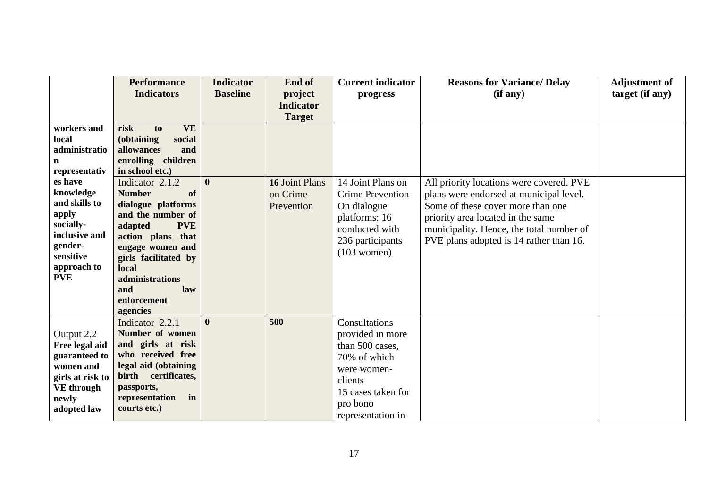|                      | <b>Performance</b>                      | <b>Indicator</b> | End of           | <b>Current indicator</b> | <b>Reasons for Variance/ Delay</b>       | <b>Adjustment of</b> |
|----------------------|-----------------------------------------|------------------|------------------|--------------------------|------------------------------------------|----------------------|
|                      | <b>Indicators</b>                       | <b>Baseline</b>  | project          | progress                 | (if any)                                 | target (if any)      |
|                      |                                         |                  | <b>Indicator</b> |                          |                                          |                      |
|                      |                                         |                  | <b>Target</b>    |                          |                                          |                      |
| workers and          | <b>VE</b><br>risk<br>to                 |                  |                  |                          |                                          |                      |
| local                | (obtaining<br>social                    |                  |                  |                          |                                          |                      |
| administratio        | allowances<br>and                       |                  |                  |                          |                                          |                      |
| n                    | enrolling children                      |                  |                  |                          |                                          |                      |
| representativ        | in school etc.)                         | $\mathbf{0}$     |                  |                          |                                          |                      |
| es have<br>knowledge | Indicator 2.1.2                         |                  | 16 Joint Plans   | 14 Joint Plans on        | All priority locations were covered. PVE |                      |
| and skills to        | <b>Number</b><br>of                     |                  | on Crime         | <b>Crime Prevention</b>  | plans were endorsed at municipal level.  |                      |
| apply                | dialogue platforms<br>and the number of |                  | Prevention       | On dialogue              | Some of these cover more than one        |                      |
| socially-            | <b>PVE</b><br>adapted                   |                  |                  | platforms: 16            | priority area located in the same        |                      |
| inclusive and        | action plans that                       |                  |                  | conducted with           | municipality. Hence, the total number of |                      |
| gender-              | engage women and                        |                  |                  | 236 participants         | PVE plans adopted is 14 rather than 16.  |                      |
| sensitive            | girls facilitated by                    |                  |                  | $(103$ women)            |                                          |                      |
| approach to          | local                                   |                  |                  |                          |                                          |                      |
| <b>PVE</b>           | administrations                         |                  |                  |                          |                                          |                      |
|                      | and<br>law                              |                  |                  |                          |                                          |                      |
|                      | enforcement                             |                  |                  |                          |                                          |                      |
|                      | agencies                                |                  |                  |                          |                                          |                      |
|                      | Indicator 2.2.1                         | $\mathbf{0}$     | 500              | Consultations            |                                          |                      |
| Output 2.2           | Number of women                         |                  |                  | provided in more         |                                          |                      |
| Free legal aid       | and girls at risk                       |                  |                  | than 500 cases,          |                                          |                      |
| guaranteed to        | who received free                       |                  |                  | 70% of which             |                                          |                      |
| women and            | legal aid (obtaining                    |                  |                  | were women-              |                                          |                      |
| girls at risk to     | birth certificates,                     |                  |                  | clients                  |                                          |                      |
| <b>VE</b> through    | passports,<br>representation<br>in      |                  |                  | 15 cases taken for       |                                          |                      |
| newly                | courts etc.)                            |                  |                  | pro bono                 |                                          |                      |
| adopted law          |                                         |                  |                  | representation in        |                                          |                      |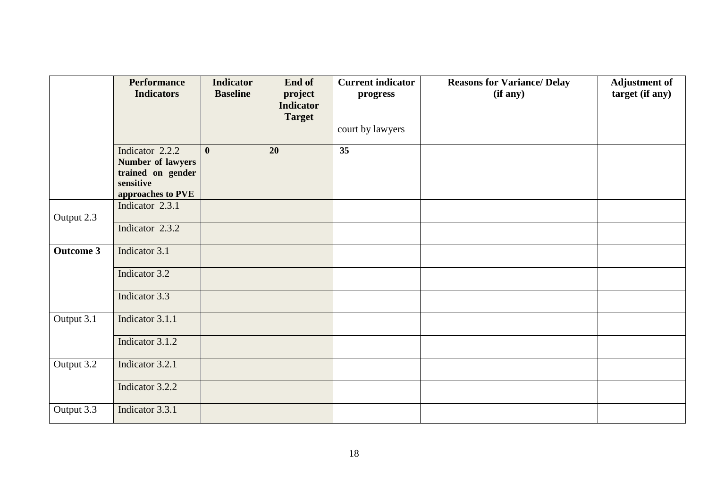|                  | <b>Performance</b>                                                                          | <b>Indicator</b> | End of                            | <b>Current indicator</b> | <b>Reasons for Variance/ Delay</b> | <b>Adjustment of</b> |
|------------------|---------------------------------------------------------------------------------------------|------------------|-----------------------------------|--------------------------|------------------------------------|----------------------|
|                  | <b>Indicators</b>                                                                           | <b>Baseline</b>  | project                           | progress                 | (if any)                           | target (if any)      |
|                  |                                                                                             |                  | <b>Indicator</b><br><b>Target</b> |                          |                                    |                      |
|                  |                                                                                             |                  |                                   | court by lawyers         |                                    |                      |
|                  | Indicator 2.2.2<br>Number of lawyers<br>trained on gender<br>sensitive<br>approaches to PVE | $\bf{0}$         | 20                                | 35                       |                                    |                      |
| Output 2.3       | Indicator 2.3.1                                                                             |                  |                                   |                          |                                    |                      |
|                  | Indicator 2.3.2                                                                             |                  |                                   |                          |                                    |                      |
| <b>Outcome 3</b> | Indicator 3.1                                                                               |                  |                                   |                          |                                    |                      |
|                  | Indicator 3.2                                                                               |                  |                                   |                          |                                    |                      |
|                  | Indicator 3.3                                                                               |                  |                                   |                          |                                    |                      |
| Output 3.1       | Indicator 3.1.1                                                                             |                  |                                   |                          |                                    |                      |
|                  | Indicator 3.1.2                                                                             |                  |                                   |                          |                                    |                      |
| Output 3.2       | Indicator 3.2.1                                                                             |                  |                                   |                          |                                    |                      |
|                  | Indicator 3.2.2                                                                             |                  |                                   |                          |                                    |                      |
| Output 3.3       | Indicator 3.3.1                                                                             |                  |                                   |                          |                                    |                      |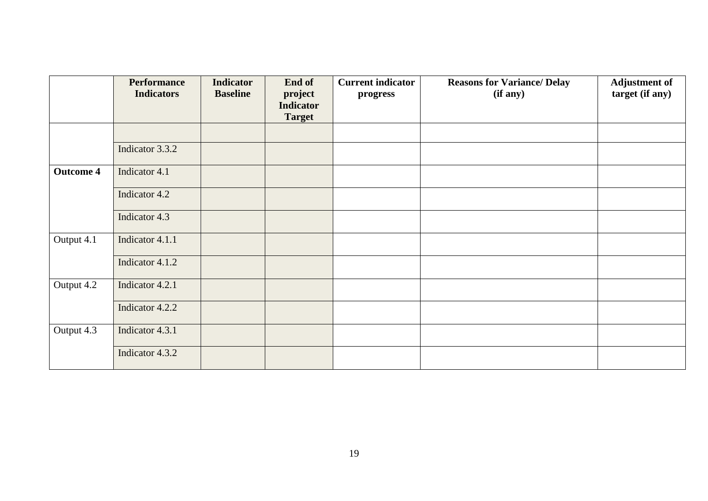|                  | <b>Performance</b> | <b>Indicator</b> | End of           | <b>Current indicator</b> | <b>Reasons for Variance/ Delay</b> | <b>Adjustment of</b> |
|------------------|--------------------|------------------|------------------|--------------------------|------------------------------------|----------------------|
|                  | <b>Indicators</b>  | <b>Baseline</b>  | project          | progress                 | (if any)                           | target (if any)      |
|                  |                    |                  | <b>Indicator</b> |                          |                                    |                      |
|                  |                    |                  | <b>Target</b>    |                          |                                    |                      |
|                  |                    |                  |                  |                          |                                    |                      |
|                  | Indicator 3.3.2    |                  |                  |                          |                                    |                      |
| <b>Outcome 4</b> | Indicator 4.1      |                  |                  |                          |                                    |                      |
|                  | Indicator 4.2      |                  |                  |                          |                                    |                      |
|                  | Indicator 4.3      |                  |                  |                          |                                    |                      |
| Output 4.1       | Indicator 4.1.1    |                  |                  |                          |                                    |                      |
|                  | Indicator 4.1.2    |                  |                  |                          |                                    |                      |
| Output 4.2       | Indicator 4.2.1    |                  |                  |                          |                                    |                      |
|                  | Indicator 4.2.2    |                  |                  |                          |                                    |                      |
| Output 4.3       | Indicator 4.3.1    |                  |                  |                          |                                    |                      |
|                  | Indicator 4.3.2    |                  |                  |                          |                                    |                      |